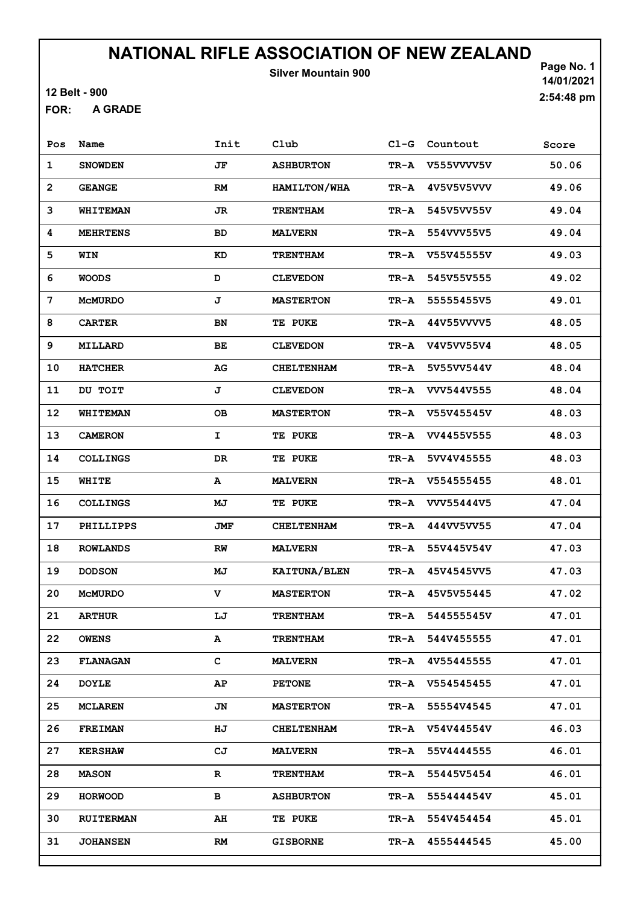Silver Mountain 900

12 Belt - 900

A GRADE FOR:

| Pos            | Name             | Init       | Club              | $C1-G$ | Countout   | Score |
|----------------|------------------|------------|-------------------|--------|------------|-------|
| $\mathbf 1$    | <b>SNOWDEN</b>   | JF         | <b>ASHBURTON</b>  | TR-A   | V555VVVV5V | 50.06 |
| $\overline{2}$ | <b>GEANGE</b>    | <b>RM</b>  | HAMILTON/WHA      | TR-A   | 4V5V5V5VVV | 49.06 |
| 3              | <b>WHITEMAN</b>  | JR         | <b>TRENTHAM</b>   | TR-A   | 545V5VV55V | 49.04 |
| 4              | <b>MEHRTENS</b>  | <b>BD</b>  | <b>MALVERN</b>    | TR-A   | 554VVV55V5 | 49.04 |
| 5              | WIN              | KD         | <b>TRENTHAM</b>   | TR-A   | V55V45555V | 49.03 |
| 6              | <b>WOODS</b>     | D          | <b>CLEVEDON</b>   | TR-A   | 545V55V555 | 49.02 |
| 7              | <b>MCMURDO</b>   | J          | <b>MASTERTON</b>  | TR-A   | 55555455V5 | 49.01 |
| 8              | <b>CARTER</b>    | BN         | TE PUKE           | TR-A   | 44V55VVVV5 | 48.05 |
| 9              | MILLARD          | BE         | <b>CLEVEDON</b>   | TR-A   | V4V5VV55V4 | 48.05 |
| 10             | <b>HATCHER</b>   | ${\bf AG}$ | <b>CHELTENHAM</b> | TR-A   | 5V55VV544V | 48.04 |
| 11             | DU TOIT          | J          | <b>CLEVEDON</b>   | TR-A   | VVV544V555 | 48.04 |
| 12             | WHITEMAN         | <b>OB</b>  | <b>MASTERTON</b>  | TR-A   | V55V45545V | 48.03 |
| 13             | <b>CAMERON</b>   | I          | <b>TE PUKE</b>    | TR-A   | VV4455V555 | 48.03 |
| 14             | <b>COLLINGS</b>  | DR         | <b>TE PUKE</b>    | TR-A   | 5VV4V45555 | 48.03 |
| 15             | WHITE            | A          | <b>MALVERN</b>    | TR-A   | V554555455 | 48.01 |
| 16             | <b>COLLINGS</b>  | MJ         | TE PUKE           | TR-A   | VVV55444V5 | 47.04 |
| 17             | PHILLIPPS        | JMF        | <b>CHELTENHAM</b> | TR-A   | 444VV5VV55 | 47.04 |
| 18             | <b>ROWLANDS</b>  | RW         | <b>MALVERN</b>    | TR-A   | 55V445V54V | 47.03 |
| 19             | <b>DODSON</b>    | MJ         | KAITUNA/BLEN      | TR-A   | 45V4545VV5 | 47.03 |
| 20             | <b>MCMURDO</b>   | v          | <b>MASTERTON</b>  | TR-A   | 45V5V55445 | 47.02 |
| 21             | <b>ARTHUR</b>    | LJ         | <b>TRENTHAM</b>   | TR-A   | 544555545V | 47.01 |
| 22             | <b>OWENS</b>     | A          | <b>TRENTHAM</b>   | TR-A   | 544V455555 | 47.01 |
| 23             | <b>FLANAGAN</b>  | c          | <b>MALVERN</b>    | TR-A   | 4V55445555 | 47.01 |
| 24             | <b>DOYLE</b>     | AP         | <b>PETONE</b>     | TR-A   | V554545455 | 47.01 |
| 25             | <b>MCLAREN</b>   | JN         | <b>MASTERTON</b>  | TR-A   | 55554V4545 | 47.01 |
| 26             | <b>FREIMAN</b>   | HJ         | <b>CHELTENHAM</b> | TR-A   | V54V44554V | 46.03 |
| 27             | <b>KERSHAW</b>   | CJ         | <b>MALVERN</b>    | TR-A   | 55V4444555 | 46.01 |
| 28             | <b>MASON</b>     | R          | <b>TRENTHAM</b>   | TR-A   | 55445V5454 | 46.01 |
| 29             | <b>HORWOOD</b>   | в          | <b>ASHBURTON</b>  | TR-A   | 555444454V | 45.01 |
| 30             | <b>RUITERMAN</b> | AH         | TE PUKE           | TR-A   | 554V454454 | 45.01 |
| 31             | <b>JOHANSEN</b>  | RM         | <b>GISBORNE</b>   | TR-A   | 4555444545 | 45.00 |
|                |                  |            |                   |        |            |       |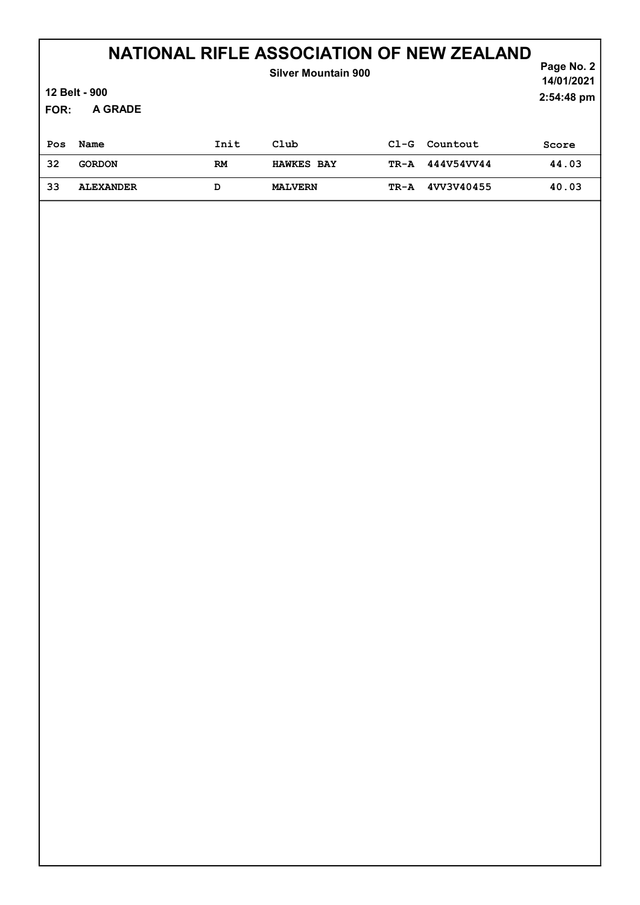| FOR: | 12 Belt - 900<br>A GRADE |           | <b>Silver Mountain 900</b> |        |            | Page No. 2<br>14/01/2021<br>2:54:48 pm |
|------|--------------------------|-----------|----------------------------|--------|------------|----------------------------------------|
| Pos  | Name                     | Init      | Club                       | $CL-G$ | Countout   | Score                                  |
| 32   | <b>GORDON</b>            | <b>RM</b> | <b>HAWKES BAY</b>          | TR-A   | 444V54VV44 | 44.03                                  |
| 33   | <b>ALEXANDER</b>         | D         | <b>MALVERN</b>             | TR-A   | 4VV3V40455 | 40.03                                  |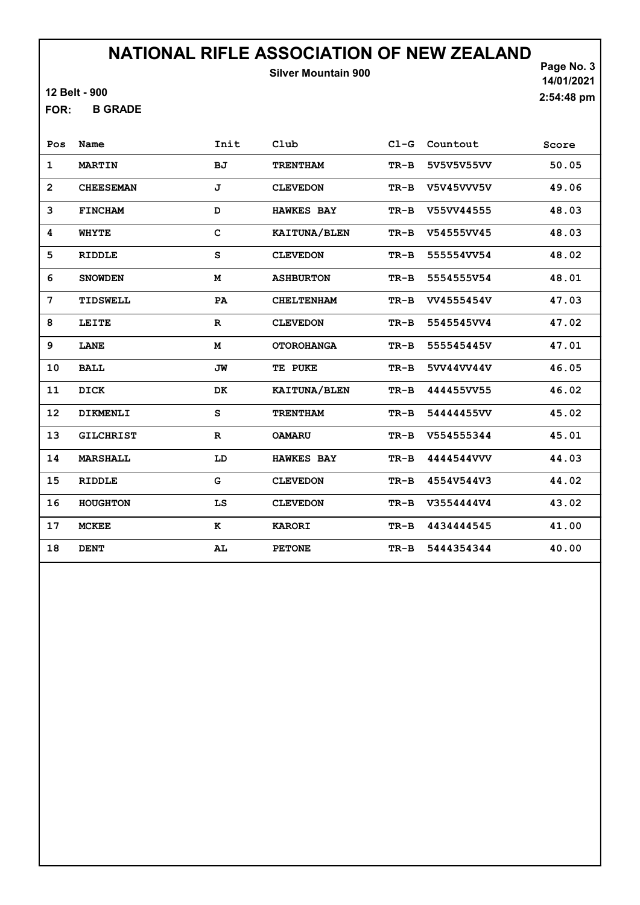12 Belt - 900

B GRADE FOR:

Page No. 3 14/01/2021 2:54:48 pm

| Pos               | Name             | Init         | Club              | $C1-G$ | Countout   | Score |
|-------------------|------------------|--------------|-------------------|--------|------------|-------|
| $\mathbf{1}$      | <b>MARTIN</b>    | <b>BJ</b>    | <b>TRENTHAM</b>   | $TR-B$ | 5V5V5V55VV | 50.05 |
| $\overline{2}$    | <b>CHEESEMAN</b> | J            | <b>CLEVEDON</b>   | $TR-B$ | V5V45VVV5V | 49.06 |
| 3                 | <b>FINCHAM</b>   | D            | <b>HAWKES BAY</b> | $TR-B$ | V55VV44555 | 48.03 |
| 4                 | <b>WHYTE</b>     | C            | KAITUNA/BLEN      | $TR-B$ | V54555VV45 | 48.03 |
| 5                 | <b>RIDDLE</b>    | S            | <b>CLEVEDON</b>   | $TR-B$ | 555554VV54 | 48.02 |
| 6                 | <b>SNOWDEN</b>   | M            | <b>ASHBURTON</b>  | $TR-B$ | 5554555V54 | 48.01 |
| 7                 | TIDSWELL         | PA           | <b>CHELTENHAM</b> | TR-B   | VV4555454V | 47.03 |
| 8                 | LEITE            | $\mathbf{R}$ | <b>CLEVEDON</b>   | $TR-B$ | 5545545VV4 | 47.02 |
| 9                 | LANE             | M            | <b>OTOROHANGA</b> | $TR-B$ | 555545445V | 47.01 |
| 10                | <b>BALL</b>      | JW           | TE PUKE           | $TR-B$ | 5VV44VV44V | 46.05 |
| 11                | DICK             | DK           | KAITUNA/BLEN      | $TR-B$ | 444455VV55 | 46.02 |
| $12 \overline{ }$ | DIKMENLI         | S            | <b>TRENTHAM</b>   | $TR-B$ | 54444455VV | 45.02 |
| 13                | <b>GILCHRIST</b> | $\mathbf{R}$ | <b>OAMARU</b>     | $TR-B$ | V554555344 | 45.01 |
| 14                | <b>MARSHALL</b>  | LD           | <b>HAWKES BAY</b> | $TR-B$ | 4444544VVV | 44.03 |
| 15                | <b>RIDDLE</b>    | G            | <b>CLEVEDON</b>   | $TR-B$ | 4554V544V3 | 44.02 |
| 16                | <b>HOUGHTON</b>  | LS           | <b>CLEVEDON</b>   | $TR-B$ | V3554444V4 | 43.02 |
| 17                | <b>MCKEE</b>     | к            | <b>KARORI</b>     | $TR-B$ | 4434444545 | 41.00 |
| 18                | <b>DENT</b>      | AL           | <b>PETONE</b>     | $TR-B$ | 5444354344 | 40.00 |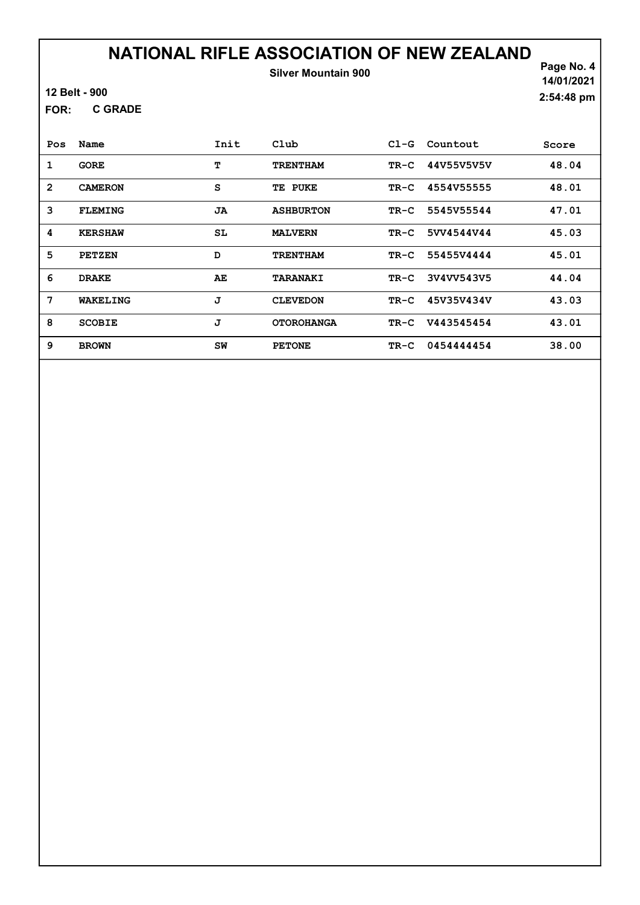12 Belt - 900

C GRADE FOR:

Page No. 4 14/01/2021 2:54:48 pm

| Pos            | Name           | Init | $_{\rm Club}$     | $C1-G$ | Countout   | Score |
|----------------|----------------|------|-------------------|--------|------------|-------|
| 1              | <b>GORE</b>    | т    | <b>TRENTHAM</b>   | $TR-C$ | 44V55V5V5V | 48.04 |
| $\overline{2}$ | <b>CAMERON</b> | S    | TE PUKE           | $TR-C$ | 4554V55555 | 48.01 |
| 3              | <b>FLEMING</b> | JA   | <b>ASHBURTON</b>  | $TR-C$ | 5545V55544 | 47.01 |
| 4              | <b>KERSHAW</b> | SL   | <b>MALVERN</b>    | $TR-C$ | 5VV4544V44 | 45.03 |
| 5              | <b>PETZEN</b>  | D    | <b>TRENTHAM</b>   | $TR-C$ | 55455V4444 | 45.01 |
| 6              | <b>DRAKE</b>   | AE   | <b>TARANAKI</b>   | $TR-C$ | 3V4VV543V5 | 44.04 |
| 7              | WAKELING       | J    | <b>CLEVEDON</b>   | TR-C   | 45V35V434V | 43.03 |
| 8              | <b>SCOBIE</b>  | J    | <b>OTOROHANGA</b> | $TR-C$ | V443545454 | 43.01 |
| 9              | <b>BROWN</b>   | SW   | <b>PETONE</b>     | $TR-C$ | 0454444454 | 38.00 |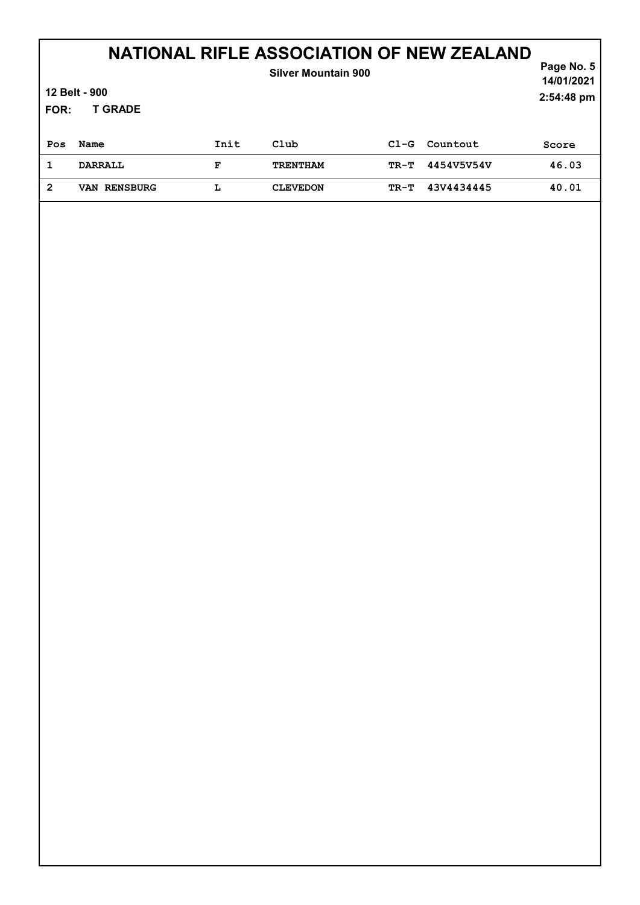| 12 Belt - 900<br><b>T GRADE</b><br>FOR: |                     |      | <b>Silver Mountain 900</b> |        | Page No. 5<br>14/01/2021<br>2:54:48 pm |       |
|-----------------------------------------|---------------------|------|----------------------------|--------|----------------------------------------|-------|
|                                         |                     |      |                            |        |                                        |       |
| Pos                                     | Name                | Init | Club                       | $C1-G$ | Countout                               | Score |
| $\mathbf{1}$                            | <b>DARRALL</b>      | F    | <b>TRENTHAM</b>            | TR-T   | 4454V5V54V                             | 46.03 |
| $\overline{2}$                          | <b>VAN RENSBURG</b> | L    | <b>CLEVEDON</b>            | $TR-T$ | 43V4434445                             | 40.01 |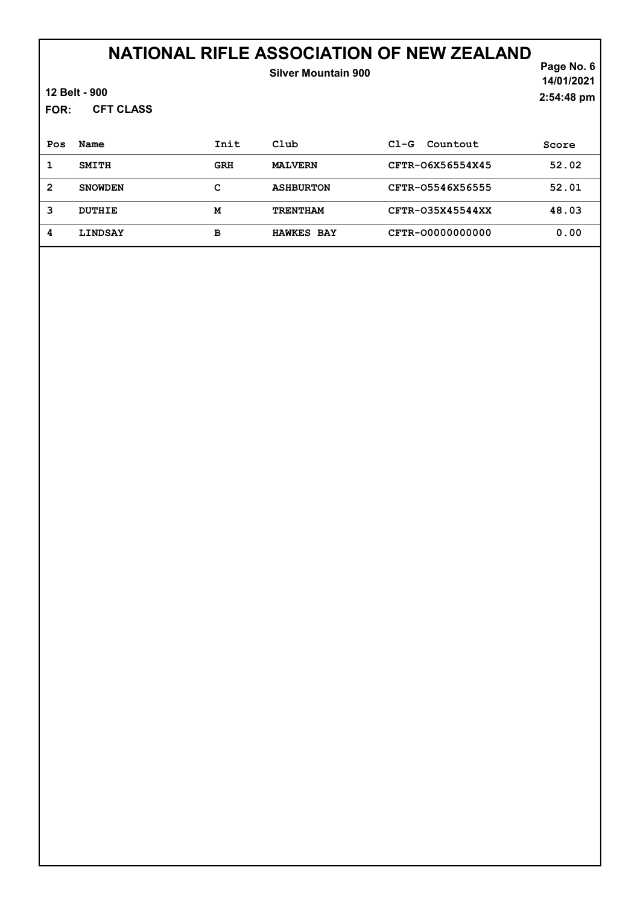| FOR:           | 12 Belt - 900<br><b>CFT CLASS</b> |            | <b>Silver Mountain 900</b> |                    | Page No. 6<br>14/01/2021<br>2:54:48 pm |
|----------------|-----------------------------------|------------|----------------------------|--------------------|----------------------------------------|
| Pos            | Name                              | Init       | Club                       | $CL-G$<br>Countout | Score                                  |
| 1              | <b>SMITH</b>                      | <b>GRH</b> | <b>MALVERN</b>             | CFTR-06X56554X45   | 52.02                                  |
| $\overline{2}$ | <b>SNOWDEN</b>                    | c          | <b>ASHBURTON</b>           | CFTR-05546X56555   | 52.01                                  |
| 3              | <b>DUTHIE</b>                     | M          | <b>TRENTHAM</b>            | CFTR-035X45544XX   | 48.03                                  |
| 4              | LINDSAY                           | в          | <b>HAWKES BAY</b>          | CFTR-00000000000   | 0.00                                   |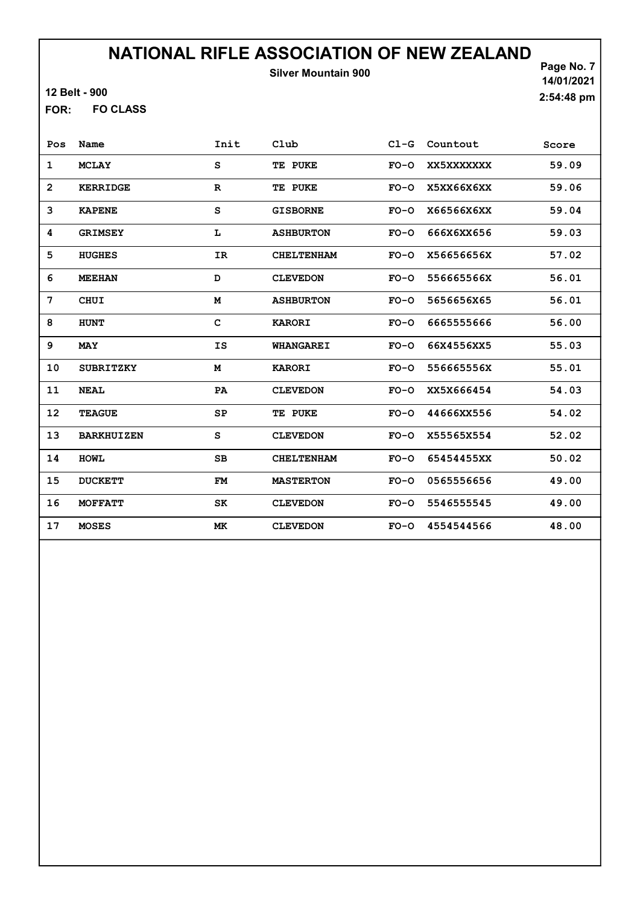12 Belt - 900

FO CLASS FOR:

Page No. 7 14/01/2021 2:54:48 pm

| Pos            | Name              | Init         | Club              | $CL-G$ | Countout   | Score |
|----------------|-------------------|--------------|-------------------|--------|------------|-------|
| 1              | <b>MCLAY</b>      | s            | TE PUKE           | $FO-O$ | XX5XXXXXXX | 59.09 |
| $\overline{2}$ | <b>KERRIDGE</b>   | $\mathbf R$  | TE PUKE           | $FO-O$ | X5XX66X6XX | 59.06 |
| 3              | <b>KAPENE</b>     | S            | <b>GISBORNE</b>   | $FO-O$ | X66566X6XX | 59.04 |
| 4              | <b>GRIMSEY</b>    | L            | <b>ASHBURTON</b>  | $FO-O$ | 666X6XX656 | 59.03 |
| 5              | <b>HUGHES</b>     | IR           | <b>CHELTENHAM</b> | $FO-O$ | X56656656X | 57.02 |
| 6              | <b>MEEHAN</b>     | D            | <b>CLEVEDON</b>   | $FO-O$ | 556665566X | 56.01 |
| 7              | <b>CHUI</b>       | M            | <b>ASHBURTON</b>  | $FO-O$ | 5656656X65 | 56.01 |
| 8              | <b>HUNT</b>       | $\mathbf{C}$ | <b>KARORI</b>     | $FO-O$ | 6665555666 | 56.00 |
| 9              | <b>MAY</b>        | <b>IS</b>    | <b>WHANGAREI</b>  | $FO-O$ | 66X4556XX5 | 55.03 |
| 10             | <b>SUBRITZKY</b>  | M            | <b>KARORI</b>     | $FO-O$ | 556665556X | 55.01 |
| 11             | <b>NEAL</b>       | PA           | <b>CLEVEDON</b>   | $FO-O$ | XX5X666454 | 54.03 |
| 12             | <b>TEAGUE</b>     | SP           | TE PUKE           | $FO-O$ | 44666XX556 | 54.02 |
| 13             | <b>BARKHUIZEN</b> | S            | <b>CLEVEDON</b>   | $FO-O$ | X55565X554 | 52.02 |
| 14             | <b>HOWL</b>       | SВ           | <b>CHELTENHAM</b> | $FO-O$ | 65454455XX | 50.02 |
| 15             | <b>DUCKETT</b>    | <b>FM</b>    | <b>MASTERTON</b>  | $FO-O$ | 0565556656 | 49.00 |
| 16             | <b>MOFFATT</b>    | SK           | <b>CLEVEDON</b>   | $FO-O$ | 5546555545 | 49.00 |
| 17             | <b>MOSES</b>      | МK           | <b>CLEVEDON</b>   | $FO-O$ | 4554544566 | 48.00 |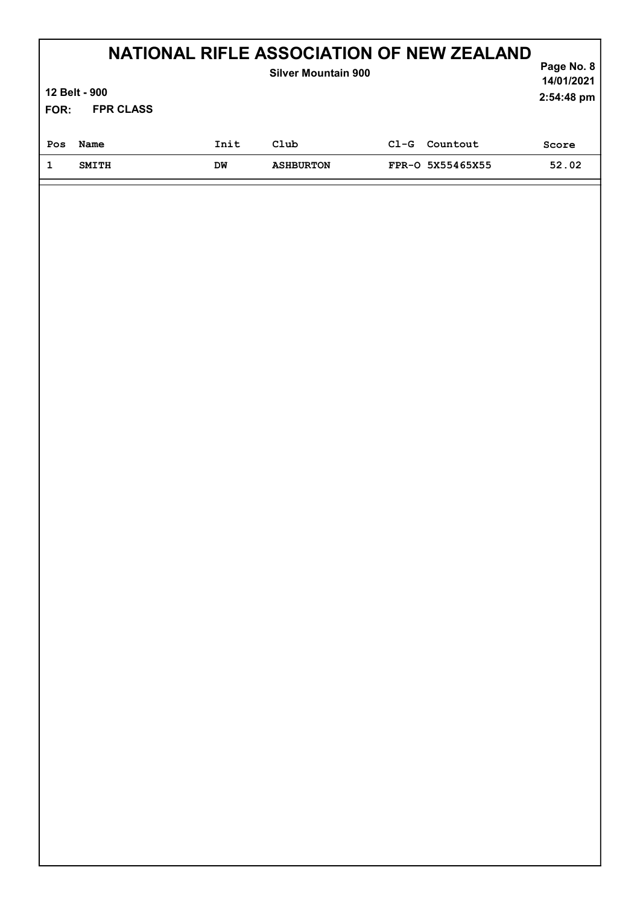| FOR: | 12 Belt - 900<br><b>FPR CLASS</b> |      | <b>NATIONAL RIFLE ASSOCIATION OF NEW ZEALAND</b><br><b>Silver Mountain 900</b> |        |                  | Page No. 8<br>14/01/2021<br>2:54:48 pm |
|------|-----------------------------------|------|--------------------------------------------------------------------------------|--------|------------------|----------------------------------------|
| Pos  | Name                              | Init | Club                                                                           | $C1-G$ | Countout         | Score                                  |
|      | <b>SMITH</b>                      | DM   | <b>ASHBURTON</b>                                                               |        | FPR-0 5X55465X55 | 52.02                                  |
|      |                                   |      |                                                                                |        |                  |                                        |